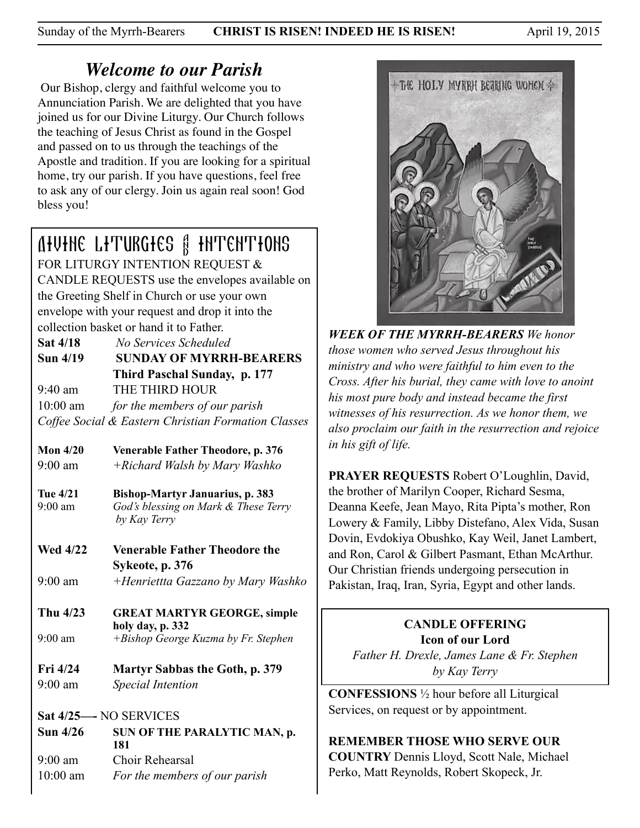Sunday of the Myrrh-Bearers **CHRIST IS RISEN! INDEED HE IS RISEN!** April 19, 2015

# *Welcome to our Parish*

 Our Bishop, clergy and faithful welcome you to Annunciation Parish. We are delighted that you have joined us for our Divine Liturgy. Our Church follows the teaching of Jesus Christ as found in the Gospel and passed on to us through the teachings of the Apostle and tradition. If you are looking for a spiritual home, try our parish. If you have questions, feel free to ask any of our clergy. Join us again real soon! God bless you!

# Divine Liturgies & Intentions

FOR LITURGY INTENTION REQUEST & CANDLE REQUESTS use the envelopes available on the Greeting Shelf in Church or use your own envelope with your request and drop it into the collection basket or hand it to Father.

**Sat 4/18** *No Services Scheduled*

**Sun 4/19 SUNDAY OF MYRRH-BEARERS Third Paschal Sunday, p. 177**  9:40 am THE THIRD HOUR 10:00 am *for the members of our parish* 

*Coffee Social & Eastern Christian Formation Classes*

**Mon 4/20****Venerable Father Theodore, p. 376** 9:00 am *+Richard Walsh by Mary Washko* 

**Tue 4/21 Bishop-Martyr Januarius, p. 383**  9:00 am *God's blessing on Mark & These Terry by Kay Terry*

**Wed 4/22 Venerable Father Theodore the Sykeote, p. 376**  9:00 am *+Henriettta Gazzano by Mary Washko*

- 
- **Thu 4/23 GREAT MARTYR GEORGE, simple holy day, p. 332** 9:00 am *+Bishop George Kuzma by Fr. Stephen*

**Fri 4/24 Martyr Sabbas the Goth, p. 379**  9:00 am *Special Intention* 

**Sat 4/25—-** NO SERVICES Sun 4/26 SUN OF THE PARALYTIC MAN, p.  **181** 9:00 am Choir Rehearsal 10:00 am *For the members of our parish*



*WEEK OF THE MYRRH-BEARERS We honor those women who served Jesus throughout his ministry and who were faithful to him even to the Cross. After his burial, they came with love to anoint his most pure body and instead became the first witnesses of his resurrection. As we honor them, we also proclaim our faith in the resurrection and rejoice in his gift of life.*

**PRAYER REQUESTS** Robert O'Loughlin, David, the brother of Marilyn Cooper, Richard Sesma, Deanna Keefe, Jean Mayo, Rita Pipta's mother, Ron Lowery & Family, Libby Distefano, Alex Vida, Susan Dovin, Evdokiya Obushko, Kay Weil, Janet Lambert, and Ron, Carol & Gilbert Pasmant, Ethan McArthur. Our Christian friends undergoing persecution in Pakistan, Iraq, Iran, Syria, Egypt and other lands.

> **CANDLE OFFERING Icon of our Lord**

*Father H. Drexle, James Lane & Fr. Stephen by Kay Terry*

**CONFESSIONS** ½ hour before all Liturgical Services, on request or by appointment.

## **REMEMBER THOSE WHO SERVE OUR**

**COUNTRY** Dennis Lloyd, Scott Nale, Michael Perko, Matt Reynolds, Robert Skopeck, Jr.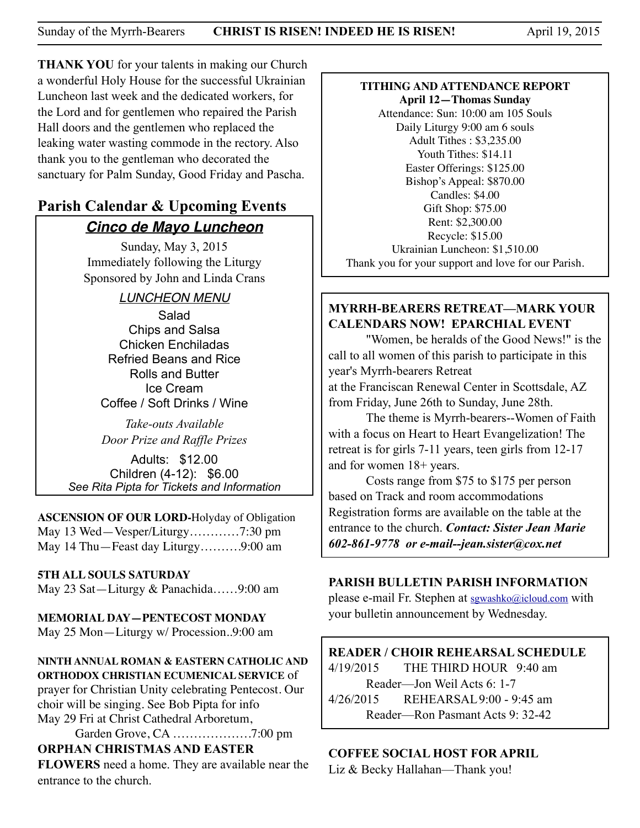**THANK YOU** for your talents in making our Church a wonderful Holy House for the successful Ukrainian Luncheon last week and the dedicated workers, for the Lord and for gentlemen who repaired the Parish Hall doors and the gentlemen who replaced the leaking water wasting commode in the rectory. Also thank you to the gentleman who decorated the sanctuary for Palm Sunday, Good Friday and Pascha.

## **Parish Calendar & Upcoming Events** *Cinco de Mayo Luncheon*

Sunday, May 3, 2015 Immediately following the Liturgy Sponsored by John and Linda Crans

## *LUNCHEON MENU*

Salad Chips and Salsa Chicken Enchiladas Refried Beans and Rice Rolls and Butter Ice Cream Coffee / Soft Drinks / Wine

*Take-outs Available Door Prize and Raffle Prizes* 

Adults: \$12.00 Children (4-12): \$6.00 *See Rita Pipta for Tickets and Information*

**ASCENSION OF OUR LORD-**Holyday of Obligation May 13 Wed—Vesper/Liturgy…………7:30 pm May 14 Thu—Feast day Liturgy……….9:00 am

#### **5TH ALL SOULS SATURDAY**

May 23 Sat—Liturgy & Panachida……9:00 am

**MEMORIAL DAY—PENTECOST MONDAY** May 25 Mon—Liturgy w/ Procession..9:00 am

**NINTH ANNUAL ROMAN & EASTERN CATHOLIC AND ORTHODOX CHRISTIAN ECUMENICAL SERVICE** of

prayer for Christian Unity celebrating Pentecost. Our choir will be singing. See Bob Pipta for info May 29 Fri at Christ Cathedral Arboretum,

Garden Grove, CA ……………….7:00 pm

## **ORPHAN CHRISTMAS AND EASTER**

**FLOWERS** need a home. They are available near the entrance to the church.

#### **TITHING AND ATTENDANCE REPORT April 12—Thomas Sunday**

Attendance: Sun: 10:00 am 105 Souls Daily Liturgy 9:00 am 6 souls Adult Tithes : \$3,235.00 Youth Tithes: \$14.11 Easter Offerings: \$125.00 Bishop's Appeal: \$870.00 Candles: \$4.00 Gift Shop: \$75.00 Rent: \$2,300.00 Recycle: \$15.00 Ukrainian Luncheon: \$1,510.00 Thank you for your support and love for our Parish.

## **MYRRH-BEARERS RETREAT—MARK YOUR CALENDARS NOW! EPARCHIAL EVENT**

 "Women, be heralds of the Good News!" is the call to all women of this parish to participate in this year's Myrrh-bearers Retreat at the Franciscan Renewal Center in Scottsdale, AZ from Friday, June 26th to Sunday, June 28th.

 The theme is Myrrh-bearers--Women of Faith with a focus on Heart to Heart Evangelization! The retreat is for girls 7-11 years, teen girls from 12-17 and for women 18+ years.

 Costs range from \$75 to \$175 per person based on Track and room accommodations Registration forms are available on the table at the entrance to the church. *Contact: Sister Jean Marie 602-861-9778 or e-mail--jean.sister@cox.net*

## **PARISH BULLETIN PARISH INFORMATION**

please e-mail Fr. Stephen at [sgwashko@icloud.com](mailto:sgwashko@icloud.com) with your bulletin announcement by Wednesday.

## **READER / CHOIR REHEARSAL SCHEDULE**

4/19/2015 THE THIRD HOUR 9:40 am Reader—Jon Weil Acts 6: 1-7 4/26/2015 REHEARSAL 9:00 - 9:45 am Reader—Ron Pasmant Acts 9: 32-42

## **COFFEE SOCIAL HOST FOR APRIL**

Liz & Becky Hallahan—Thank you!